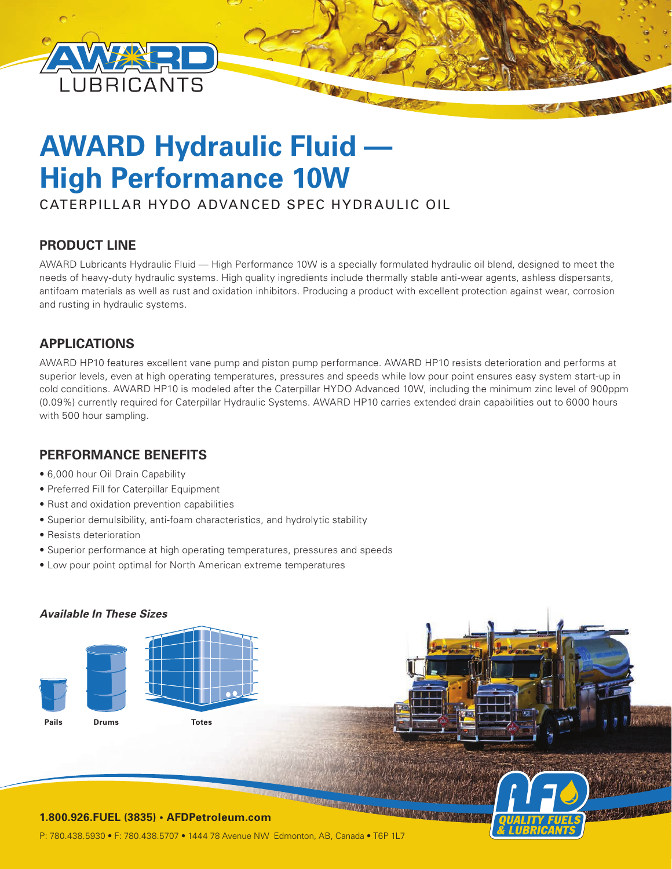

# **AWARD Hydraulic Fluid — High Performance 10W**

CATERPILLAR HYDO ADVANCED SPEC HYDRAULIC OIL

# **PRODUCT LINE**

AWARD Lubricants Hydraulic Fluid — High Performance 10W is a specially formulated hydraulic oil blend, designed to meet the needs of heavy-duty hydraulic systems. High quality ingredients include thermally stable anti-wear agents, ashless dispersants, antifoam materials as well as rust and oxidation inhibitors. Producing a product with excellent protection against wear, corrosion and rusting in hydraulic systems.

# **APPLICATIONS**

AWARD HP10 features excellent vane pump and piston pump performance. AWARD HP10 resists deterioration and performs at superior levels, even at high operating temperatures, pressures and speeds while low pour point ensures easy system start-up in cold conditions. AWARD HP10 is modeled after the Caterpillar HYDO Advanced 10W, including the minimum zinc level of 900ppm (0.09%) currently required for Caterpillar Hydraulic Systems. AWARD HP10 carries extended drain capabilities out to 6000 hours with 500 hour sampling.

# **PERFORMANCE BENEFITS**

- 6,000 hour Oil Drain Capability
- Preferred Fill for Caterpillar Equipment
- Rust and oxidation prevention capabilities
- Superior demulsibility, anti-foam characteristics, and hydrolytic stability
- Resists deterioration
- Superior performance at high operating temperatures, pressures and speeds
- Low pour point optimal for North American extreme temperatures